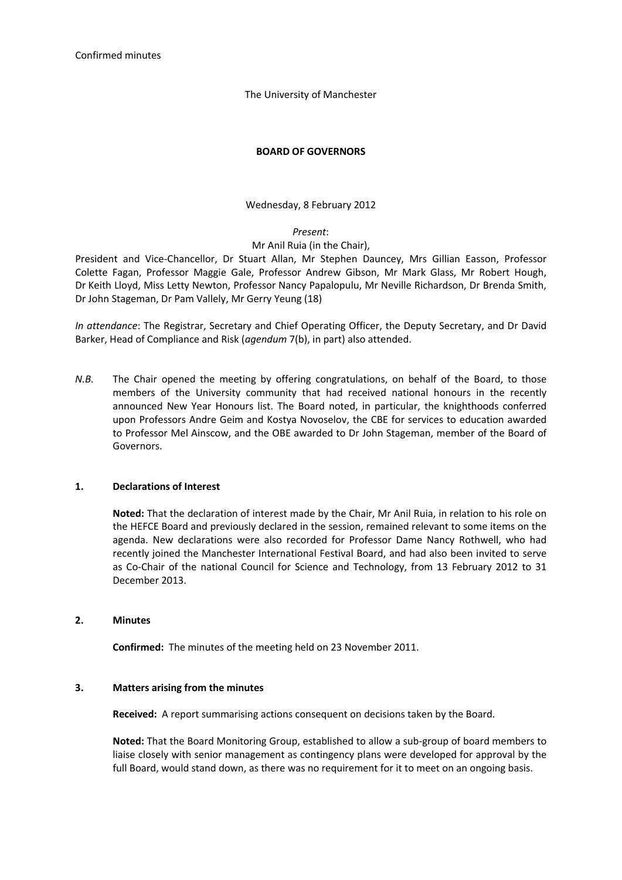The University of Manchester

### **BOARD OF GOVERNORS**

### Wednesday, 8 February 2012

#### *Present*:

## Mr Anil Ruia (in the Chair),

President and Vice-Chancellor, Dr Stuart Allan, Mr Stephen Dauncey, Mrs Gillian Easson, Professor Colette Fagan, Professor Maggie Gale, Professor Andrew Gibson, Mr Mark Glass, Mr Robert Hough, Dr Keith Lloyd, Miss Letty Newton, Professor Nancy Papalopulu, Mr Neville Richardson, Dr Brenda Smith, Dr John Stageman, Dr Pam Vallely, Mr Gerry Yeung (18)

*In attendance*: The Registrar, Secretary and Chief Operating Officer, the Deputy Secretary, and Dr David Barker, Head of Compliance and Risk (*agendum* 7(b), in part) also attended.

*N.B.* The Chair opened the meeting by offering congratulations, on behalf of the Board, to those members of the University community that had received national honours in the recently announced New Year Honours list. The Board noted, in particular, the knighthoods conferred upon Professors Andre Geim and Kostya Novoselov, the CBE for services to education awarded to Professor Mel Ainscow, and the OBE awarded to Dr John Stageman, member of the Board of Governors.

#### **1. Declarations of Interest**

**Noted:** That the declaration of interest made by the Chair, Mr Anil Ruia, in relation to his role on the HEFCE Board and previously declared in the session, remained relevant to some items on the agenda. New declarations were also recorded for Professor Dame Nancy Rothwell, who had recently joined the Manchester International Festival Board, and had also been invited to serve as Co-Chair of the national Council for Science and Technology, from 13 February 2012 to 31 December 2013.

#### **2. Minutes**

**Confirmed:** The minutes of the meeting held on 23 November 2011.

#### **3. Matters arising from the minutes**

**Received:** A report summarising actions consequent on decisions taken by the Board.

**Noted:** That the Board Monitoring Group, established to allow a sub-group of board members to liaise closely with senior management as contingency plans were developed for approval by the full Board, would stand down, as there was no requirement for it to meet on an ongoing basis.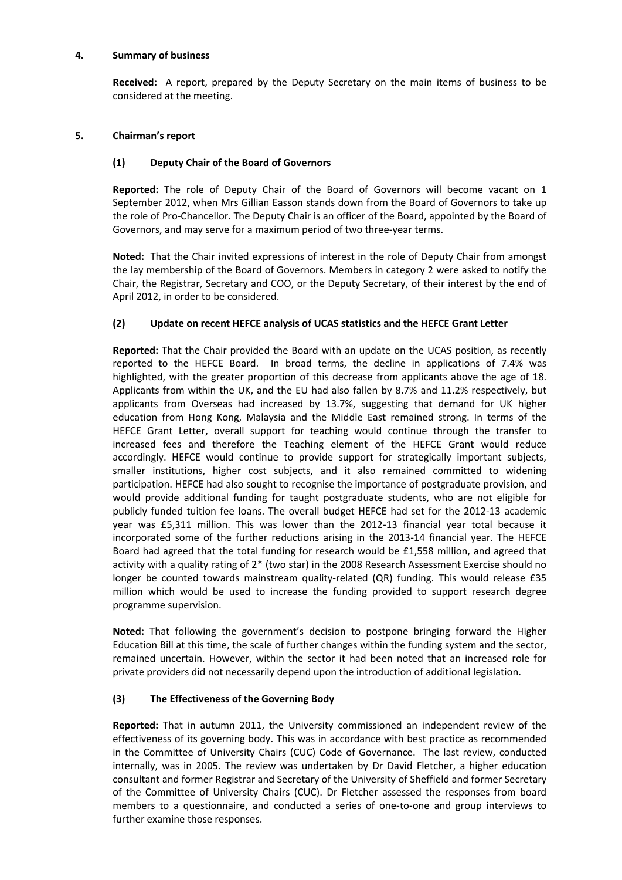### **4. Summary of business**

**Received:** A report, prepared by the Deputy Secretary on the main items of business to be considered at the meeting.

## **5. Chairman's report**

# **(1) Deputy Chair of the Board of Governors**

**Reported:** The role of Deputy Chair of the Board of Governors will become vacant on 1 September 2012, when Mrs Gillian Easson stands down from the Board of Governors to take up the role of Pro-Chancellor. The Deputy Chair is an officer of the Board, appointed by the Board of Governors, and may serve for a maximum period of two three-year terms.

**Noted:** That the Chair invited expressions of interest in the role of Deputy Chair from amongst the lay membership of the Board of Governors. Members in category 2 were asked to notify the Chair, the Registrar, Secretary and COO, or the Deputy Secretary, of their interest by the end of April 2012, in order to be considered.

# **(2) Update on recent HEFCE analysis of UCAS statistics and the HEFCE Grant Letter**

**Reported:** That the Chair provided the Board with an update on the UCAS position, as recently reported to the HEFCE Board. In broad terms, the decline in applications of 7.4% was highlighted, with the greater proportion of this decrease from applicants above the age of 18. Applicants from within the UK, and the EU had also fallen by 8.7% and 11.2% respectively, but applicants from Overseas had increased by 13.7%, suggesting that demand for UK higher education from Hong Kong, Malaysia and the Middle East remained strong. In terms of the HEFCE Grant Letter, overall support for teaching would continue through the transfer to increased fees and therefore the Teaching element of the HEFCE Grant would reduce accordingly. HEFCE would continue to provide support for strategically important subjects, smaller institutions, higher cost subjects, and it also remained committed to widening participation. HEFCE had also sought to recognise the importance of postgraduate provision, and would provide additional funding for taught postgraduate students, who are not eligible for publicly funded tuition fee loans. The overall budget HEFCE had set for the 2012-13 academic year was £5,311 million. This was lower than the 2012-13 financial year total because it incorporated some of the further reductions arising in the 2013-14 financial year. The HEFCE Board had agreed that the total funding for research would be £1,558 million, and agreed that activity with a quality rating of 2\* (two star) in the 2008 Research Assessment Exercise should no longer be counted towards mainstream quality-related (QR) funding. This would release £35 million which would be used to increase the funding provided to support research degree programme supervision.

**Noted:** That following the government's decision to postpone bringing forward the Higher Education Bill at this time, the scale of further changes within the funding system and the sector, remained uncertain. However, within the sector it had been noted that an increased role for private providers did not necessarily depend upon the introduction of additional legislation.

## **(3) The Effectiveness of the Governing Body**

**Reported:** That in autumn 2011, the University commissioned an independent review of the effectiveness of its governing body. This was in accordance with best practice as recommended in the Committee of University Chairs (CUC) Code of Governance. The last review, conducted internally, was in 2005. The review was undertaken by Dr David Fletcher, a higher education consultant and former Registrar and Secretary of the University of Sheffield and former Secretary of the Committee of University Chairs (CUC). Dr Fletcher assessed the responses from board members to a questionnaire, and conducted a series of one-to-one and group interviews to further examine those responses.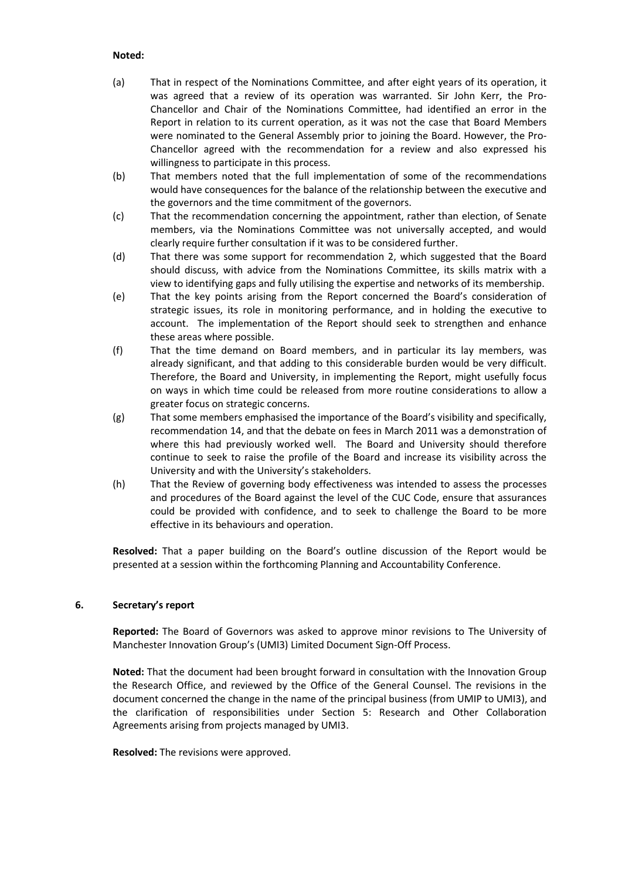### **Noted:**

- (a) That in respect of the Nominations Committee, and after eight years of its operation, it was agreed that a review of its operation was warranted. Sir John Kerr, the Pro-Chancellor and Chair of the Nominations Committee, had identified an error in the Report in relation to its current operation, as it was not the case that Board Members were nominated to the General Assembly prior to joining the Board. However, the Pro-Chancellor agreed with the recommendation for a review and also expressed his willingness to participate in this process.
- (b) That members noted that the full implementation of some of the recommendations would have consequences for the balance of the relationship between the executive and the governors and the time commitment of the governors.
- (c) That the recommendation concerning the appointment, rather than election, of Senate members, via the Nominations Committee was not universally accepted, and would clearly require further consultation if it was to be considered further.
- (d) That there was some support for recommendation 2, which suggested that the Board should discuss, with advice from the Nominations Committee, its skills matrix with a view to identifying gaps and fully utilising the expertise and networks of its membership.
- (e) That the key points arising from the Report concerned the Board's consideration of strategic issues, its role in monitoring performance, and in holding the executive to account. The implementation of the Report should seek to strengthen and enhance these areas where possible.
- (f) That the time demand on Board members, and in particular its lay members, was already significant, and that adding to this considerable burden would be very difficult. Therefore, the Board and University, in implementing the Report, might usefully focus on ways in which time could be released from more routine considerations to allow a greater focus on strategic concerns.
- (g) That some members emphasised the importance of the Board's visibility and specifically, recommendation 14, and that the debate on fees in March 2011 was a demonstration of where this had previously worked well. The Board and University should therefore continue to seek to raise the profile of the Board and increase its visibility across the University and with the University's stakeholders.
- (h) That the Review of governing body effectiveness was intended to assess the processes and procedures of the Board against the level of the CUC Code, ensure that assurances could be provided with confidence, and to seek to challenge the Board to be more effective in its behaviours and operation.

**Resolved:** That a paper building on the Board's outline discussion of the Report would be presented at a session within the forthcoming Planning and Accountability Conference.

#### **6. Secretary's report**

**Reported:** The Board of Governors was asked to approve minor revisions to The University of Manchester Innovation Group's (UMI3) Limited Document Sign-Off Process.

**Noted:** That the document had been brought forward in consultation with the Innovation Group the Research Office, and reviewed by the Office of the General Counsel. The revisions in the document concerned the change in the name of the principal business (from UMIP to UMI3), and the clarification of responsibilities under Section 5: Research and Other Collaboration Agreements arising from projects managed by UMI3.

**Resolved:** The revisions were approved.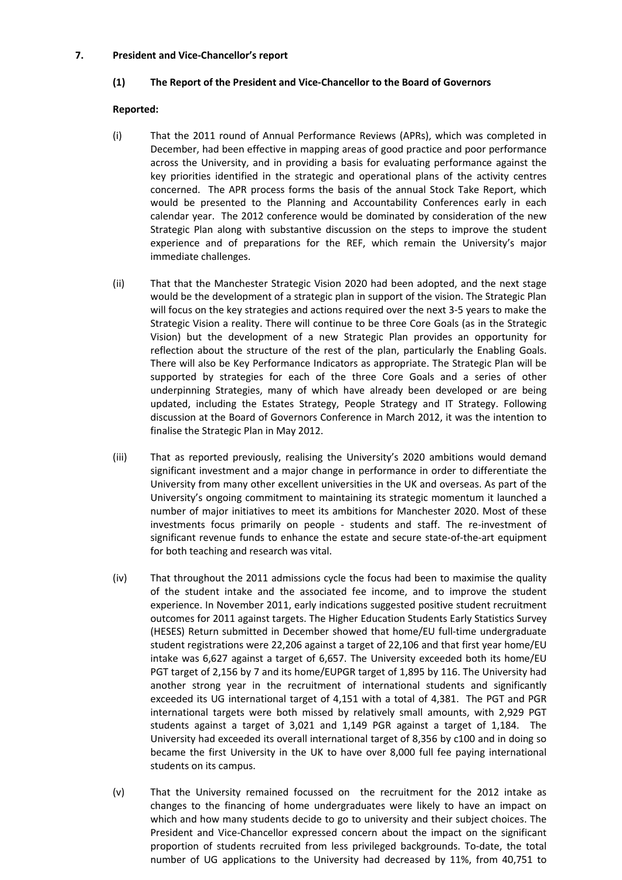### **7. President and Vice-Chancellor's report**

### **(1) The Report of the President and Vice-Chancellor to the Board of Governors**

### **Reported:**

- (i) That the 2011 round of Annual Performance Reviews (APRs), which was completed in December, had been effective in mapping areas of good practice and poor performance across the University, and in providing a basis for evaluating performance against the key priorities identified in the strategic and operational plans of the activity centres concerned. The APR process forms the basis of the annual Stock Take Report, which would be presented to the Planning and Accountability Conferences early in each calendar year. The 2012 conference would be dominated by consideration of the new Strategic Plan along with substantive discussion on the steps to improve the student experience and of preparations for the REF, which remain the University's major immediate challenges.
- (ii) That that the Manchester Strategic Vision 2020 had been adopted, and the next stage would be the development of a strategic plan in support of the vision. The Strategic Plan will focus on the key strategies and actions required over the next 3-5 years to make the Strategic Vision a reality. There will continue to be three Core Goals (as in the Strategic Vision) but the development of a new Strategic Plan provides an opportunity for reflection about the structure of the rest of the plan, particularly the Enabling Goals. There will also be Key Performance Indicators as appropriate. The Strategic Plan will be supported by strategies for each of the three Core Goals and a series of other underpinning Strategies, many of which have already been developed or are being updated, including the Estates Strategy, People Strategy and IT Strategy. Following discussion at the Board of Governors Conference in March 2012, it was the intention to finalise the Strategic Plan in May 2012.
- (iii) That as reported previously, realising the University's 2020 ambitions would demand significant investment and a major change in performance in order to differentiate the University from many other excellent universities in the UK and overseas. As part of the University's ongoing commitment to maintaining its strategic momentum it launched a number of major initiatives to meet its ambitions for Manchester 2020. Most of these investments focus primarily on people - students and staff. The re-investment of significant revenue funds to enhance the estate and secure state-of-the-art equipment for both teaching and research was vital.
- (iv) That throughout the 2011 admissions cycle the focus had been to maximise the quality of the student intake and the associated fee income, and to improve the student experience. In November 2011, early indications suggested positive student recruitment outcomes for 2011 against targets. The Higher Education Students Early Statistics Survey (HESES) Return submitted in December showed that home/EU full-time undergraduate student registrations were 22,206 against a target of 22,106 and that first year home/EU intake was 6,627 against a target of 6,657. The University exceeded both its home/EU PGT target of 2,156 by 7 and its home/EUPGR target of 1,895 by 116. The University had another strong year in the recruitment of international students and significantly exceeded its UG international target of 4,151 with a total of 4,381. The PGT and PGR international targets were both missed by relatively small amounts, with 2,929 PGT students against a target of 3,021 and 1,149 PGR against a target of 1,184. The University had exceeded its overall international target of 8,356 by c100 and in doing so became the first University in the UK to have over 8,000 full fee paying international students on its campus.
- (v) That the University remained focussed on the recruitment for the 2012 intake as changes to the financing of home undergraduates were likely to have an impact on which and how many students decide to go to university and their subject choices. The President and Vice-Chancellor expressed concern about the impact on the significant proportion of students recruited from less privileged backgrounds. To-date, the total number of UG applications to the University had decreased by 11%, from 40,751 to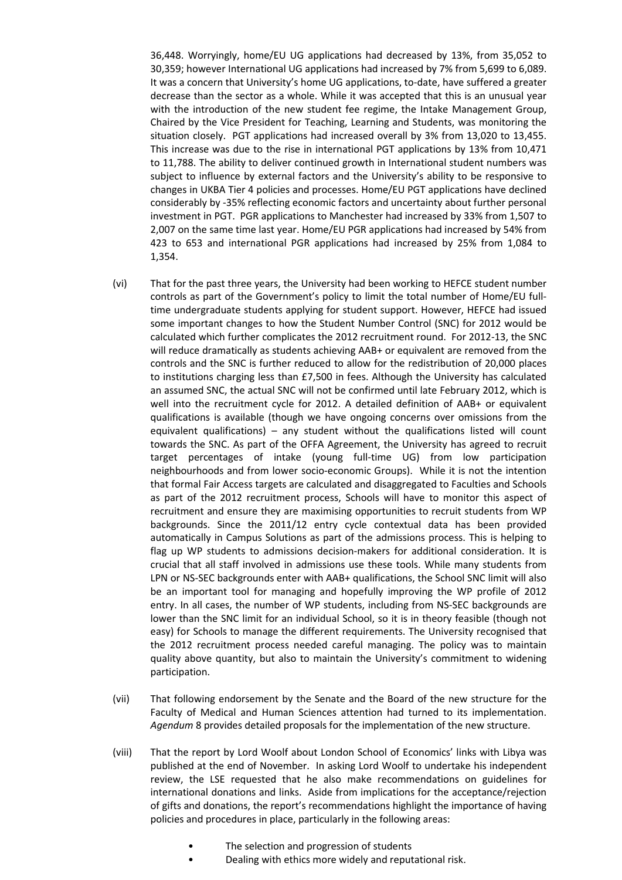36,448. Worryingly, home/EU UG applications had decreased by 13%, from 35,052 to 30,359; however International UG applications had increased by 7% from 5,699 to 6,089. It was a concern that University's home UG applications, to-date, have suffered a greater decrease than the sector as a whole. While it was accepted that this is an unusual year with the introduction of the new student fee regime, the Intake Management Group, Chaired by the Vice President for Teaching, Learning and Students, was monitoring the situation closely. PGT applications had increased overall by 3% from 13,020 to 13,455. This increase was due to the rise in international PGT applications by 13% from 10,471 to 11,788. The ability to deliver continued growth in International student numbers was subject to influence by external factors and the University's ability to be responsive to changes in UKBA Tier 4 policies and processes. Home/EU PGT applications have declined considerably by -35% reflecting economic factors and uncertainty about further personal investment in PGT. PGR applications to Manchester had increased by 33% from 1,507 to 2,007 on the same time last year. Home/EU PGR applications had increased by 54% from 423 to 653 and international PGR applications had increased by 25% from 1,084 to 1,354.

- (vi) That for the past three years, the University had been working to HEFCE student number controls as part of the Government's policy to limit the total number of Home/EU fulltime undergraduate students applying for student support. However, HEFCE had issued some important changes to how the Student Number Control (SNC) for 2012 would be calculated which further complicates the 2012 recruitment round. For 2012-13, the SNC will reduce dramatically as students achieving AAB+ or equivalent are removed from the controls and the SNC is further reduced to allow for the redistribution of 20,000 places to institutions charging less than £7,500 in fees. Although the University has calculated an assumed SNC, the actual SNC will not be confirmed until late February 2012, which is well into the recruitment cycle for 2012. A detailed definition of AAB+ or equivalent qualifications is available (though we have ongoing concerns over omissions from the equivalent qualifications) – any student without the qualifications listed will count towards the SNC. As part of the OFFA Agreement, the University has agreed to recruit target percentages of intake (young full-time UG) from low participation neighbourhoods and from lower socio-economic Groups). While it is not the intention that formal Fair Access targets are calculated and disaggregated to Faculties and Schools as part of the 2012 recruitment process, Schools will have to monitor this aspect of recruitment and ensure they are maximising opportunities to recruit students from WP backgrounds. Since the 2011/12 entry cycle contextual data has been provided automatically in Campus Solutions as part of the admissions process. This is helping to flag up WP students to admissions decision-makers for additional consideration. It is crucial that all staff involved in admissions use these tools. While many students from LPN or NS-SEC backgrounds enter with AAB+ qualifications, the School SNC limit will also be an important tool for managing and hopefully improving the WP profile of 2012 entry. In all cases, the number of WP students, including from NS-SEC backgrounds are lower than the SNC limit for an individual School, so it is in theory feasible (though not easy) for Schools to manage the different requirements. The University recognised that the 2012 recruitment process needed careful managing. The policy was to maintain quality above quantity, but also to maintain the University's commitment to widening participation.
- (vii) That following endorsement by the Senate and the Board of the new structure for the Faculty of Medical and Human Sciences attention had turned to its implementation. *Agendum* 8 provides detailed proposals for the implementation of the new structure.
- (viii) That the report by Lord Woolf about London School of Economics' links with Libya was published at the end of November. In asking Lord Woolf to undertake his independent review, the LSE requested that he also make recommendations on guidelines for international donations and links. Aside from implications for the acceptance/rejection of gifts and donations, the report's recommendations highlight the importance of having policies and procedures in place, particularly in the following areas:
	- The selection and progression of students
	- Dealing with ethics more widely and reputational risk.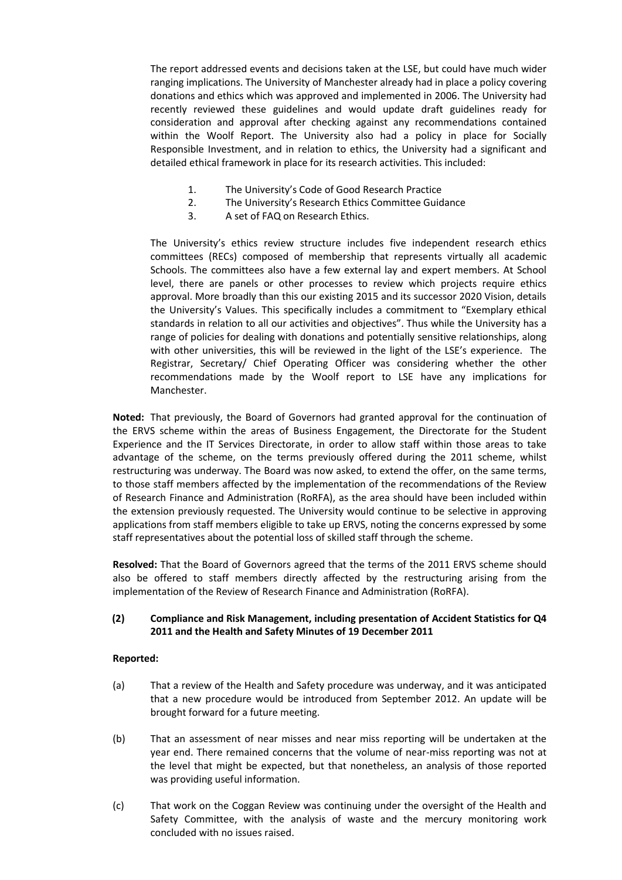The report addressed events and decisions taken at the LSE, but could have much wider ranging implications. The University of Manchester already had in place a policy covering donations and ethics which was approved and implemented in 2006. The University had recently reviewed these guidelines and would update draft guidelines ready for consideration and approval after checking against any recommendations contained within the Woolf Report. The University also had a policy in place for Socially Responsible Investment, and in relation to ethics, the University had a significant and detailed ethical framework in place for its research activities. This included:

- 1. The University's Code of Good Research Practice
- 2. The University's Research Ethics Committee Guidance
- 3. A set of FAQ on Research Ethics.

The University's ethics review structure includes five independent research ethics committees (RECs) composed of membership that represents virtually all academic Schools. The committees also have a few external lay and expert members. At School level, there are panels or other processes to review which projects require ethics approval. More broadly than this our existing 2015 and its successor 2020 Vision, details the University's Values. This specifically includes a commitment to "Exemplary ethical standards in relation to all our activities and objectives". Thus while the University has a range of policies for dealing with donations and potentially sensitive relationships, along with other universities, this will be reviewed in the light of the LSE's experience. The Registrar, Secretary/ Chief Operating Officer was considering whether the other recommendations made by the Woolf report to LSE have any implications for Manchester.

**Noted:** That previously, the Board of Governors had granted approval for the continuation of the ERVS scheme within the areas of Business Engagement, the Directorate for the Student Experience and the IT Services Directorate, in order to allow staff within those areas to take advantage of the scheme, on the terms previously offered during the 2011 scheme, whilst restructuring was underway. The Board was now asked, to extend the offer, on the same terms, to those staff members affected by the implementation of the recommendations of the Review of Research Finance and Administration (RoRFA), as the area should have been included within the extension previously requested. The University would continue to be selective in approving applications from staff members eligible to take up ERVS, noting the concerns expressed by some staff representatives about the potential loss of skilled staff through the scheme.

**Resolved:** That the Board of Governors agreed that the terms of the 2011 ERVS scheme should also be offered to staff members directly affected by the restructuring arising from the implementation of the Review of Research Finance and Administration (RoRFA).

## **(2) Compliance and Risk Management, including presentation of Accident Statistics for Q4 2011 and the Health and Safety Minutes of 19 December 2011**

## **Reported:**

- (a) That a review of the Health and Safety procedure was underway, and it was anticipated that a new procedure would be introduced from September 2012. An update will be brought forward for a future meeting.
- (b) That an assessment of near misses and near miss reporting will be undertaken at the year end. There remained concerns that the volume of near-miss reporting was not at the level that might be expected, but that nonetheless, an analysis of those reported was providing useful information.
- (c) That work on the Coggan Review was continuing under the oversight of the Health and Safety Committee, with the analysis of waste and the mercury monitoring work concluded with no issues raised.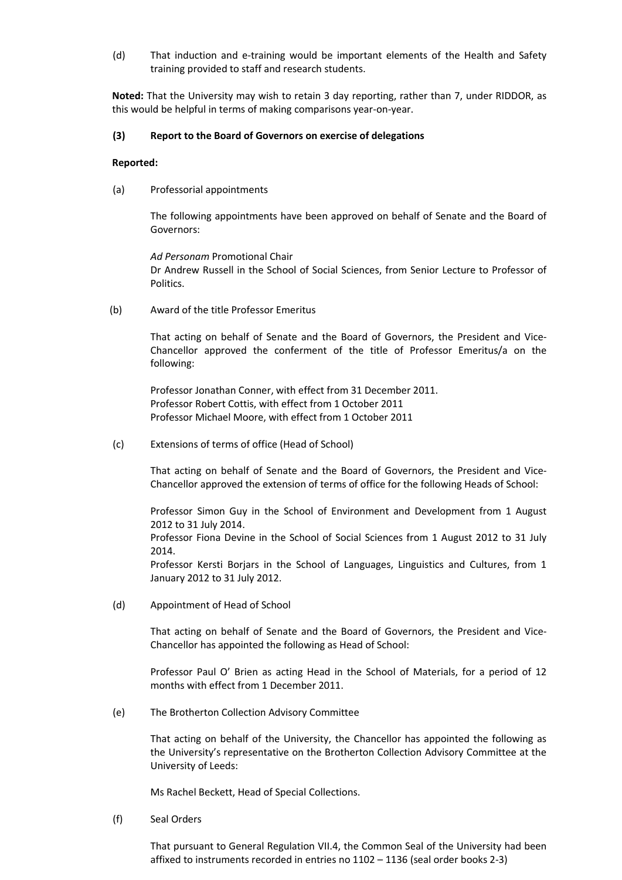(d) That induction and e-training would be important elements of the Health and Safety training provided to staff and research students.

**Noted:** That the University may wish to retain 3 day reporting, rather than 7, under RIDDOR, as this would be helpful in terms of making comparisons year-on-year.

### **(3) Report to the Board of Governors on exercise of delegations**

#### **Reported:**

(a) Professorial appointments

The following appointments have been approved on behalf of Senate and the Board of Governors:

*Ad Personam* Promotional Chair Dr Andrew Russell in the School of Social Sciences, from Senior Lecture to Professor of Politics.

(b) Award of the title Professor Emeritus

That acting on behalf of Senate and the Board of Governors, the President and Vice-Chancellor approved the conferment of the title of Professor Emeritus/a on the following:

Professor Jonathan Conner, with effect from 31 December 2011. Professor Robert Cottis, with effect from 1 October 2011 Professor Michael Moore, with effect from 1 October 2011

(c) Extensions of terms of office (Head of School)

That acting on behalf of Senate and the Board of Governors, the President and Vice-Chancellor approved the extension of terms of office for the following Heads of School:

Professor Simon Guy in the School of Environment and Development from 1 August 2012 to 31 July 2014.

Professor Fiona Devine in the School of Social Sciences from 1 August 2012 to 31 July 2014.

Professor Kersti Borjars in the School of Languages, Linguistics and Cultures, from 1 January 2012 to 31 July 2012.

(d) Appointment of Head of School

That acting on behalf of Senate and the Board of Governors, the President and Vice-Chancellor has appointed the following as Head of School:

Professor Paul O' Brien as acting Head in the School of Materials, for a period of 12 months with effect from 1 December 2011.

(e) The Brotherton Collection Advisory Committee

That acting on behalf of the University, the Chancellor has appointed the following as the University's representative on the Brotherton Collection Advisory Committee at the University of Leeds:

Ms Rachel Beckett, Head of Special Collections.

(f) Seal Orders

That pursuant to General Regulation VII.4, the Common Seal of the University had been affixed to instruments recorded in entries no 1102 – 1136 (seal order books 2-3)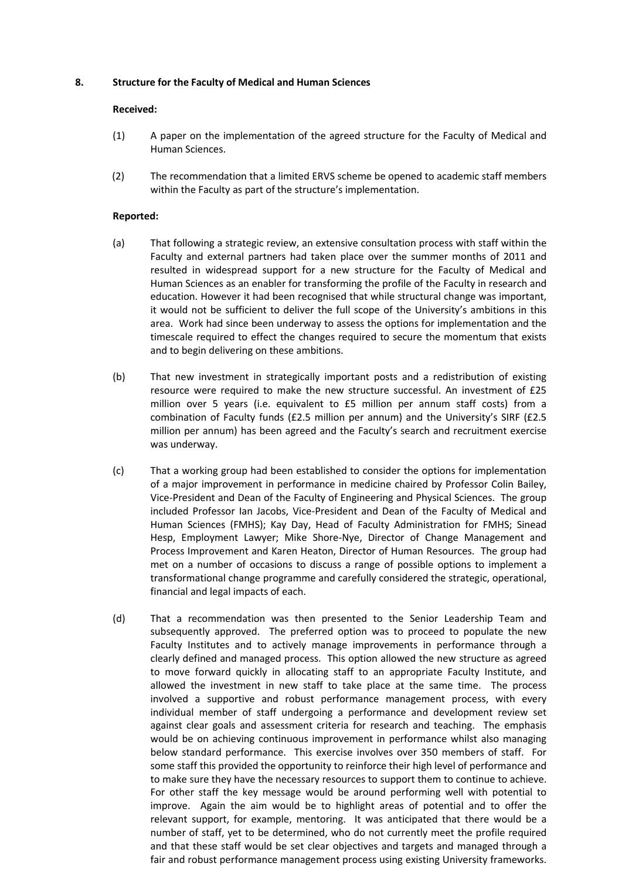### **8. Structure for the Faculty of Medical and Human Sciences**

#### **Received:**

- (1) A paper on the implementation of the agreed structure for the Faculty of Medical and Human Sciences.
- (2) The recommendation that a limited ERVS scheme be opened to academic staff members within the Faculty as part of the structure's implementation.

### **Reported:**

- (a) That following a strategic review, an extensive consultation process with staff within the Faculty and external partners had taken place over the summer months of 2011 and resulted in widespread support for a new structure for the Faculty of Medical and Human Sciences as an enabler for transforming the profile of the Faculty in research and education. However it had been recognised that while structural change was important, it would not be sufficient to deliver the full scope of the University's ambitions in this area. Work had since been underway to assess the options for implementation and the timescale required to effect the changes required to secure the momentum that exists and to begin delivering on these ambitions.
- (b) That new investment in strategically important posts and a redistribution of existing resource were required to make the new structure successful. An investment of £25 million over 5 years (i.e. equivalent to £5 million per annum staff costs) from a combination of Faculty funds (£2.5 million per annum) and the University's SIRF (£2.5 million per annum) has been agreed and the Faculty's search and recruitment exercise was underway.
- (c) That a working group had been established to consider the options for implementation of a major improvement in performance in medicine chaired by Professor Colin Bailey, Vice-President and Dean of the Faculty of Engineering and Physical Sciences. The group included Professor Ian Jacobs, Vice-President and Dean of the Faculty of Medical and Human Sciences (FMHS); Kay Day, Head of Faculty Administration for FMHS; Sinead Hesp, Employment Lawyer; Mike Shore-Nye, Director of Change Management and Process Improvement and Karen Heaton, Director of Human Resources. The group had met on a number of occasions to discuss a range of possible options to implement a transformational change programme and carefully considered the strategic, operational, financial and legal impacts of each.
- (d) That a recommendation was then presented to the Senior Leadership Team and subsequently approved. The preferred option was to proceed to populate the new Faculty Institutes and to actively manage improvements in performance through a clearly defined and managed process. This option allowed the new structure as agreed to move forward quickly in allocating staff to an appropriate Faculty Institute, and allowed the investment in new staff to take place at the same time. The process involved a supportive and robust performance management process, with every individual member of staff undergoing a performance and development review set against clear goals and assessment criteria for research and teaching. The emphasis would be on achieving continuous improvement in performance whilst also managing below standard performance. This exercise involves over 350 members of staff. For some staff this provided the opportunity to reinforce their high level of performance and to make sure they have the necessary resources to support them to continue to achieve. For other staff the key message would be around performing well with potential to improve. Again the aim would be to highlight areas of potential and to offer the relevant support, for example, mentoring. It was anticipated that there would be a number of staff, yet to be determined, who do not currently meet the profile required and that these staff would be set clear objectives and targets and managed through a fair and robust performance management process using existing University frameworks.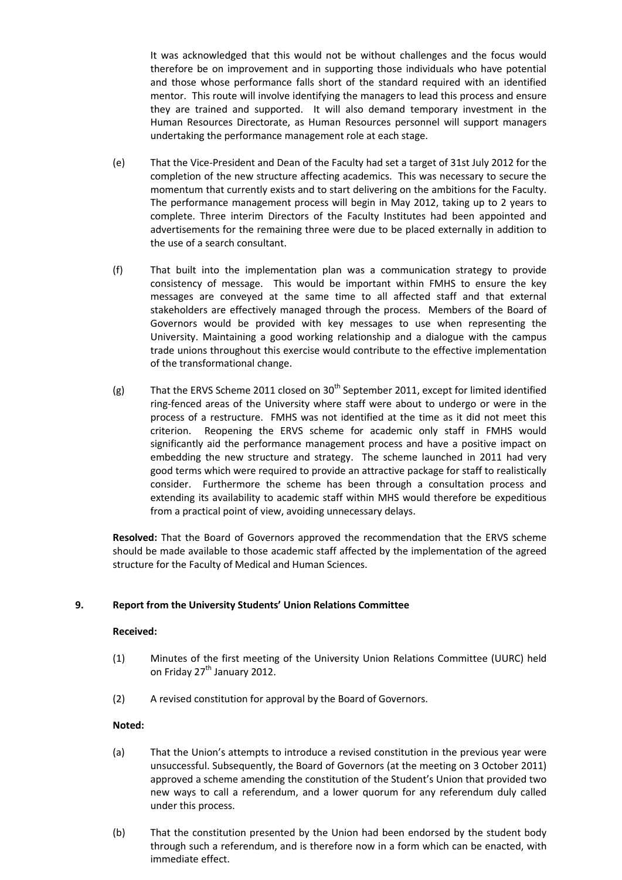It was acknowledged that this would not be without challenges and the focus would therefore be on improvement and in supporting those individuals who have potential and those whose performance falls short of the standard required with an identified mentor. This route will involve identifying the managers to lead this process and ensure they are trained and supported. It will also demand temporary investment in the Human Resources Directorate, as Human Resources personnel will support managers undertaking the performance management role at each stage.

- (e) That the Vice-President and Dean of the Faculty had set a target of 31st July 2012 for the completion of the new structure affecting academics. This was necessary to secure the momentum that currently exists and to start delivering on the ambitions for the Faculty. The performance management process will begin in May 2012, taking up to 2 years to complete. Three interim Directors of the Faculty Institutes had been appointed and advertisements for the remaining three were due to be placed externally in addition to the use of a search consultant.
- (f) That built into the implementation plan was a communication strategy to provide consistency of message. This would be important within FMHS to ensure the key messages are conveyed at the same time to all affected staff and that external stakeholders are effectively managed through the process. Members of the Board of Governors would be provided with key messages to use when representing the University. Maintaining a good working relationship and a dialogue with the campus trade unions throughout this exercise would contribute to the effective implementation of the transformational change.
- (g) That the ERVS Scheme 2011 closed on 30<sup>th</sup> September 2011, except for limited identified ring-fenced areas of the University where staff were about to undergo or were in the process of a restructure. FMHS was not identified at the time as it did not meet this criterion. Reopening the ERVS scheme for academic only staff in FMHS would significantly aid the performance management process and have a positive impact on embedding the new structure and strategy. The scheme launched in 2011 had very good terms which were required to provide an attractive package for staff to realistically consider. Furthermore the scheme has been through a consultation process and extending its availability to academic staff within MHS would therefore be expeditious from a practical point of view, avoiding unnecessary delays.

**Resolved:** That the Board of Governors approved the recommendation that the ERVS scheme should be made available to those academic staff affected by the implementation of the agreed structure for the Faculty of Medical and Human Sciences.

## **9. Report from the University Students' Union Relations Committee**

#### **Received:**

- (1) Minutes of the first meeting of the University Union Relations Committee (UURC) held on Friday 27<sup>th</sup> January 2012.
- (2) A revised constitution for approval by the Board of Governors.

- (a) That the Union's attempts to introduce a revised constitution in the previous year were unsuccessful. Subsequently, the Board of Governors (at the meeting on 3 October 2011) approved a scheme amending the constitution of the Student's Union that provided two new ways to call a referendum, and a lower quorum for any referendum duly called under this process.
- (b) That the constitution presented by the Union had been endorsed by the student body through such a referendum, and is therefore now in a form which can be enacted, with immediate effect.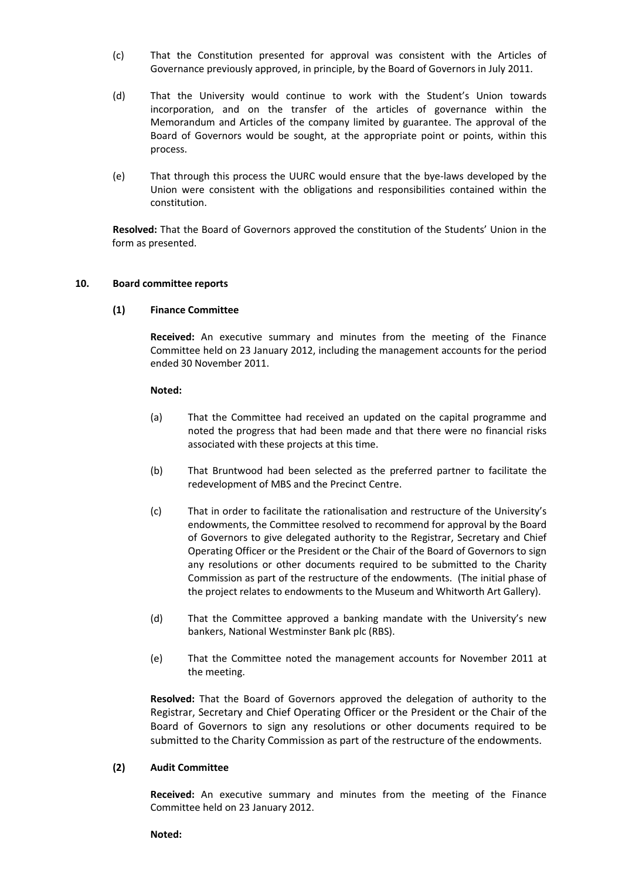- (c) That the Constitution presented for approval was consistent with the Articles of Governance previously approved, in principle, by the Board of Governors in July 2011.
- (d) That the University would continue to work with the Student's Union towards incorporation, and on the transfer of the articles of governance within the Memorandum and Articles of the company limited by guarantee. The approval of the Board of Governors would be sought, at the appropriate point or points, within this process.
- (e) That through this process the UURC would ensure that the bye-laws developed by the Union were consistent with the obligations and responsibilities contained within the constitution.

**Resolved:** That the Board of Governors approved the constitution of the Students' Union in the form as presented.

#### **10. Board committee reports**

### **(1) Finance Committee**

**Received:** An executive summary and minutes from the meeting of the Finance Committee held on 23 January 2012, including the management accounts for the period ended 30 November 2011.

### **Noted:**

- (a) That the Committee had received an updated on the capital programme and noted the progress that had been made and that there were no financial risks associated with these projects at this time.
- (b) That Bruntwood had been selected as the preferred partner to facilitate the redevelopment of MBS and the Precinct Centre.
- (c) That in order to facilitate the rationalisation and restructure of the University's endowments, the Committee resolved to recommend for approval by the Board of Governors to give delegated authority to the Registrar, Secretary and Chief Operating Officer or the President or the Chair of the Board of Governors to sign any resolutions or other documents required to be submitted to the Charity Commission as part of the restructure of the endowments. (The initial phase of the project relates to endowments to the Museum and Whitworth Art Gallery).
- (d) That the Committee approved a banking mandate with the University's new bankers, National Westminster Bank plc (RBS).
- (e) That the Committee noted the management accounts for November 2011 at the meeting.

**Resolved:** That the Board of Governors approved the delegation of authority to the Registrar, Secretary and Chief Operating Officer or the President or the Chair of the Board of Governors to sign any resolutions or other documents required to be submitted to the Charity Commission as part of the restructure of the endowments.

#### **(2) Audit Committee**

**Received:** An executive summary and minutes from the meeting of the Finance Committee held on 23 January 2012.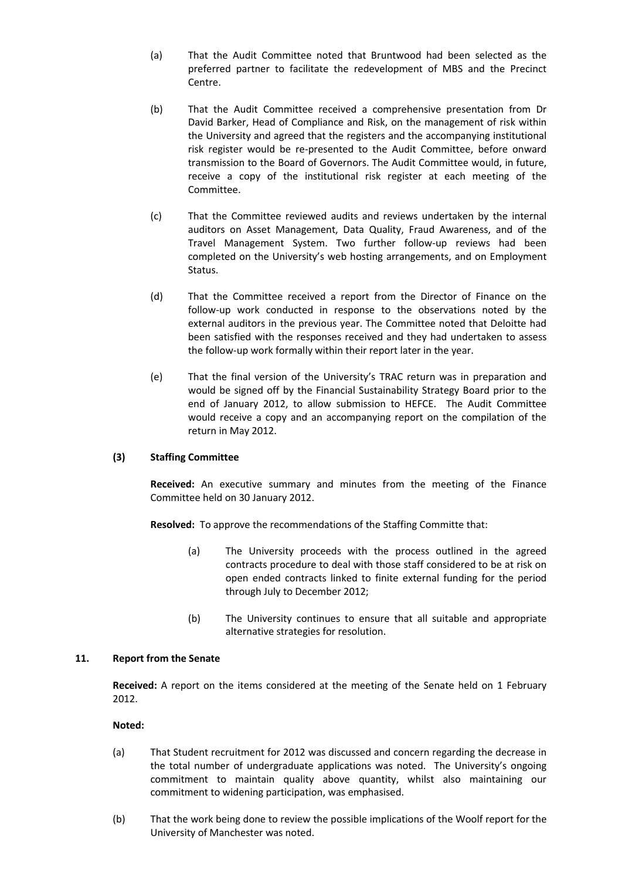- (a) That the Audit Committee noted that Bruntwood had been selected as the preferred partner to facilitate the redevelopment of MBS and the Precinct Centre.
- (b) That the Audit Committee received a comprehensive presentation from Dr David Barker, Head of Compliance and Risk, on the management of risk within the University and agreed that the registers and the accompanying institutional risk register would be re-presented to the Audit Committee, before onward transmission to the Board of Governors. The Audit Committee would, in future, receive a copy of the institutional risk register at each meeting of the Committee.
- (c) That the Committee reviewed audits and reviews undertaken by the internal auditors on Asset Management, Data Quality, Fraud Awareness, and of the Travel Management System. Two further follow-up reviews had been completed on the University's web hosting arrangements, and on Employment Status.
- (d) That the Committee received a report from the Director of Finance on the follow-up work conducted in response to the observations noted by the external auditors in the previous year. The Committee noted that Deloitte had been satisfied with the responses received and they had undertaken to assess the follow-up work formally within their report later in the year.
- (e) That the final version of the University's TRAC return was in preparation and would be signed off by the Financial Sustainability Strategy Board prior to the end of January 2012, to allow submission to HEFCE. The Audit Committee would receive a copy and an accompanying report on the compilation of the return in May 2012.

## **(3) Staffing Committee**

**Received:** An executive summary and minutes from the meeting of the Finance Committee held on 30 January 2012.

**Resolved:** To approve the recommendations of the Staffing Committe that:

- (a) The University proceeds with the process outlined in the agreed contracts procedure to deal with those staff considered to be at risk on open ended contracts linked to finite external funding for the period through July to December 2012;
- (b) The University continues to ensure that all suitable and appropriate alternative strategies for resolution.

#### **11. Report from the Senate**

**Received:** A report on the items considered at the meeting of the Senate held on 1 February 2012.

- (a) That Student recruitment for 2012 was discussed and concern regarding the decrease in the total number of undergraduate applications was noted. The University's ongoing commitment to maintain quality above quantity, whilst also maintaining our commitment to widening participation, was emphasised.
- (b) That the work being done to review the possible implications of the Woolf report for the University of Manchester was noted.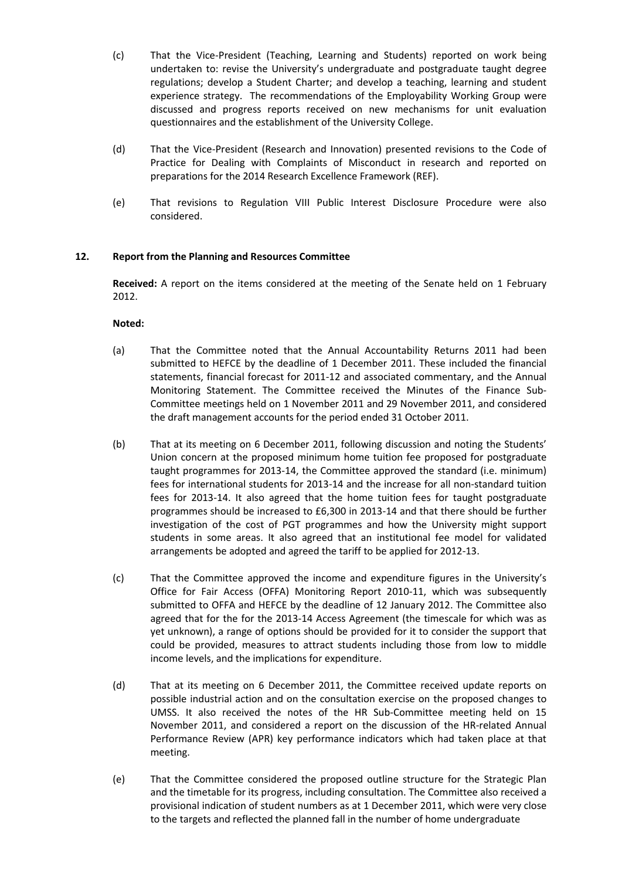- (c) That the Vice-President (Teaching, Learning and Students) reported on work being undertaken to: revise the University's undergraduate and postgraduate taught degree regulations; develop a Student Charter; and develop a teaching, learning and student experience strategy. The recommendations of the Employability Working Group were discussed and progress reports received on new mechanisms for unit evaluation questionnaires and the establishment of the University College.
- (d) That the Vice-President (Research and Innovation) presented revisions to the Code of Practice for Dealing with Complaints of Misconduct in research and reported on preparations for the 2014 Research Excellence Framework (REF).
- (e) That revisions to Regulation VIII Public Interest Disclosure Procedure were also considered.

## **12. Report from the Planning and Resources Committee**

**Received:** A report on the items considered at the meeting of the Senate held on 1 February 2012.

- (a) That the Committee noted that the Annual Accountability Returns 2011 had been submitted to HEFCE by the deadline of 1 December 2011. These included the financial statements, financial forecast for 2011-12 and associated commentary, and the Annual Monitoring Statement. The Committee received the Minutes of the Finance Sub-Committee meetings held on 1 November 2011 and 29 November 2011, and considered the draft management accounts for the period ended 31 October 2011.
- (b) That at its meeting on 6 December 2011, following discussion and noting the Students' Union concern at the proposed minimum home tuition fee proposed for postgraduate taught programmes for 2013-14, the Committee approved the standard (i.e. minimum) fees for international students for 2013-14 and the increase for all non-standard tuition fees for 2013-14. It also agreed that the home tuition fees for taught postgraduate programmes should be increased to £6,300 in 2013-14 and that there should be further investigation of the cost of PGT programmes and how the University might support students in some areas. It also agreed that an institutional fee model for validated arrangements be adopted and agreed the tariff to be applied for 2012-13.
- (c) That the Committee approved the income and expenditure figures in the University's Office for Fair Access (OFFA) Monitoring Report 2010-11, which was subsequently submitted to OFFA and HEFCE by the deadline of 12 January 2012. The Committee also agreed that for the for the 2013-14 Access Agreement (the timescale for which was as yet unknown), a range of options should be provided for it to consider the support that could be provided, measures to attract students including those from low to middle income levels, and the implications for expenditure.
- (d) That at its meeting on 6 December 2011, the Committee received update reports on possible industrial action and on the consultation exercise on the proposed changes to UMSS. It also received the notes of the HR Sub-Committee meeting held on 15 November 2011, and considered a report on the discussion of the HR-related Annual Performance Review (APR) key performance indicators which had taken place at that meeting.
- (e) That the Committee considered the proposed outline structure for the Strategic Plan and the timetable for its progress, including consultation. The Committee also received a provisional indication of student numbers as at 1 December 2011, which were very close to the targets and reflected the planned fall in the number of home undergraduate